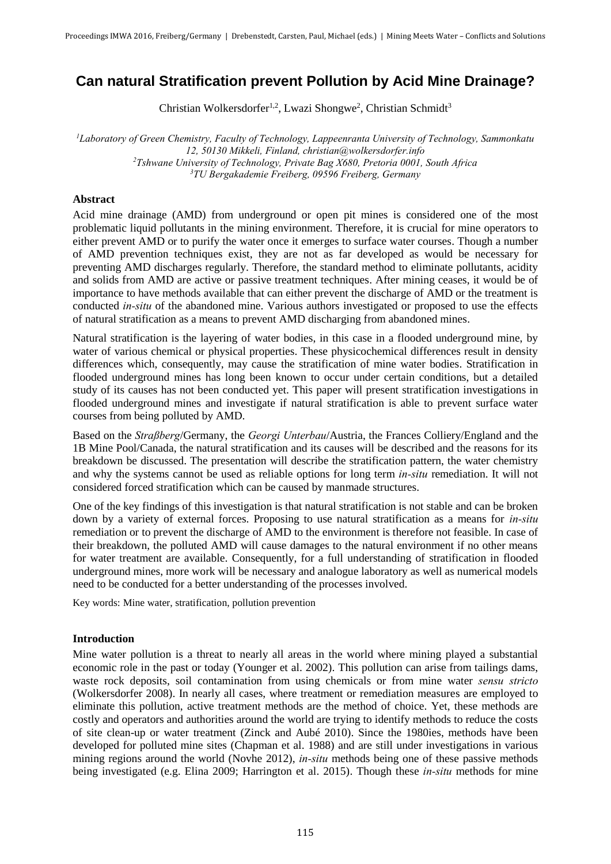# **Can natural Stratification prevent Pollution by Acid Mine Drainage?**

Christian Wolkersdorfer<sup>1,2</sup>, Lwazi Shongwe<sup>2</sup>, Christian Schmidt<sup>3</sup>

*Laboratory of Green Chemistry, Faculty of Technology, Lappeenranta University of Technology, Sammonkatu 12, 50130 Mikkeli, Finland, christian@wolkersdorfer.info Tshwane University of Technology, Private Bag X680, Pretoria 0001, South Africa TU Bergakademie Freiberg, 09596 Freiberg, Germany* 

### **Abstract**

Acid mine drainage (AMD) from underground or open pit mines is considered one of the most problematic liquid pollutants in the mining environment. Therefore, it is crucial for mine operators to either prevent AMD or to purify the water once it emerges to surface water courses. Though a number of AMD prevention techniques exist, they are not as far developed as would be necessary for preventing AMD discharges regularly. Therefore, the standard method to eliminate pollutants, acidity and solids from AMD are active or passive treatment techniques. After mining ceases, it would be of importance to have methods available that can either prevent the discharge of AMD or the treatment is conducted *in-situ* of the abandoned mine. Various authors investigated or proposed to use the effects of natural stratification as a means to prevent AMD discharging from abandoned mines.

Natural stratification is the layering of water bodies, in this case in a flooded underground mine, by water of various chemical or physical properties. These physicochemical differences result in density differences which, consequently, may cause the stratification of mine water bodies. Stratification in flooded underground mines has long been known to occur under certain conditions, but a detailed study of its causes has not been conducted yet. This paper will present stratification investigations in flooded underground mines and investigate if natural stratification is able to prevent surface water courses from being polluted by AMD.

Based on the *Straßberg*/Germany, the *Georgi Unterbau*/Austria, the Frances Colliery/England and the 1B Mine Pool/Canada, the natural stratification and its causes will be described and the reasons for its breakdown be discussed. The presentation will describe the stratification pattern, the water chemistry and why the systems cannot be used as reliable options for long term *in-situ* remediation. It will not considered forced stratification which can be caused by manmade structures.

One of the key findings of this investigation is that natural stratification is not stable and can be broken down by a variety of external forces. Proposing to use natural stratification as a means for *in-situ* remediation or to prevent the discharge of AMD to the environment is therefore not feasible. In case of their breakdown, the polluted AMD will cause damages to the natural environment if no other means for water treatment are available. Consequently, for a full understanding of stratification in flooded underground mines, more work will be necessary and analogue laboratory as well as numerical models need to be conducted for a better understanding of the processes involved.

Key words: Mine water, stratification, pollution prevention

# **Introduction**

Mine water pollution is a threat to nearly all areas in the world where mining played a substantial economic role in the past or today (Younger et al. 2002). This pollution can arise from tailings dams, waste rock deposits, soil contamination from using chemicals or from mine water *sensu stricto*  (Wolkersdorfer 2008). In nearly all cases, where treatment or remediation measures are employed to eliminate this pollution, active treatment methods are the method of choice. Yet, these methods are costly and operators and authorities around the world are trying to identify methods to reduce the costs of site clean-up or water treatment (Zinck and Aubé 2010). Since the 1980ies, methods have been developed for polluted mine sites (Chapman et al. 1988) and are still under investigations in various mining regions around the world (Novhe 2012), *in-situ* methods being one of these passive methods being investigated (e.g. Elina 2009; Harrington et al. 2015). Though these *in-situ* methods for mine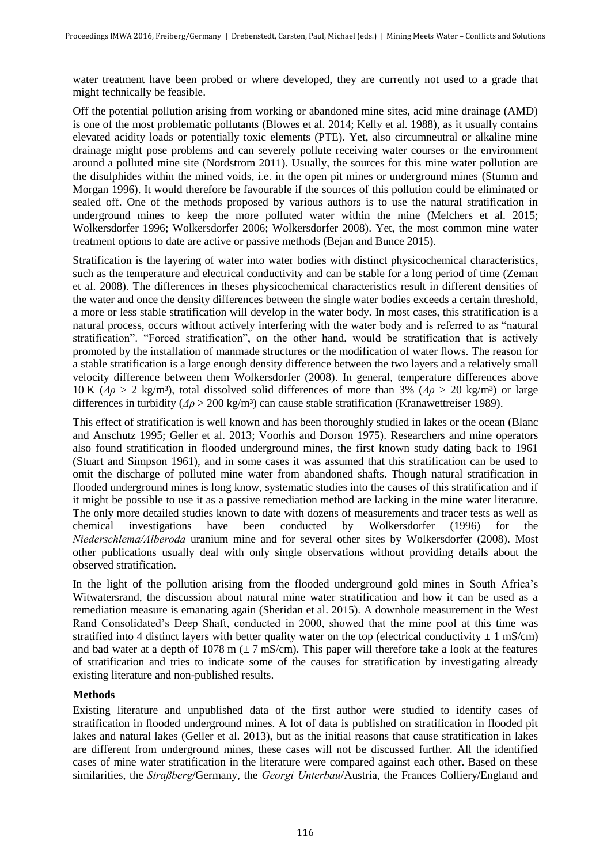water treatment have been probed or where developed, they are currently not used to a grade that might technically be feasible.

Off the potential pollution arising from working or abandoned mine sites, acid mine drainage (AMD) is one of the most problematic pollutants (Blowes et al. 2014; Kelly et al. 1988), as it usually contains elevated acidity loads or potentially toxic elements (PTE). Yet, also circumneutral or alkaline mine drainage might pose problems and can severely pollute receiving water courses or the environment around a polluted mine site (Nordstrom 2011). Usually, the sources for this mine water pollution are the disulphides within the mined voids, i.e. in the open pit mines or underground mines (Stumm and Morgan 1996). It would therefore be favourable if the sources of this pollution could be eliminated or sealed off. One of the methods proposed by various authors is to use the natural stratification in underground mines to keep the more polluted water within the mine (Melchers et al. 2015; Wolkersdorfer 1996; Wolkersdorfer 2006; Wolkersdorfer 2008). Yet, the most common mine water treatment options to date are active or passive methods (Bejan and Bunce 2015).

Stratification is the layering of water into water bodies with distinct physicochemical characteristics, such as the temperature and electrical conductivity and can be stable for a long period of time (Zeman et al. 2008). The differences in theses physicochemical characteristics result in different densities of the water and once the density differences between the single water bodies exceeds a certain threshold, a more or less stable stratification will develop in the water body. In most cases, this stratification is a natural process, occurs without actively interfering with the water body and is referred to as "natural stratification". "Forced stratification", on the other hand, would be stratification that is actively promoted by the installation of manmade structures or the modification of water flows. The reason for a stable stratification is a large enough density difference between the two layers and a relatively small velocity difference between them Wolkersdorfer (2008). In general, temperature differences above 10 K (*Δρ* > 2 kg/m³), total dissolved solid differences of more than 3% (*Δρ* > 20 kg/m³) or large differences in turbidity (*Δρ* > 200 kg/m³) can cause stable stratification (Kranawettreiser 1989).

This effect of stratification is well known and has been thoroughly studied in lakes or the ocean (Blanc and Anschutz 1995; Geller et al. 2013; Voorhis and Dorson 1975). Researchers and mine operators also found stratification in flooded underground mines, the first known study dating back to 1961 (Stuart and Simpson 1961), and in some cases it was assumed that this stratification can be used to omit the discharge of polluted mine water from abandoned shafts. Though natural stratification in flooded underground mines is long know, systematic studies into the causes of this stratification and if it might be possible to use it as a passive remediation method are lacking in the mine water literature. The only more detailed studies known to date with dozens of measurements and tracer tests as well as chemical investigations have been conducted by Wolkersdorfer (1996) for the *Niederschlema/Alberoda* uranium mine and for several other sites by Wolkersdorfer (2008). Most other publications usually deal with only single observations without providing details about the observed stratification.

In the light of the pollution arising from the flooded underground gold mines in South Africa's Witwatersrand, the discussion about natural mine water stratification and how it can be used as a remediation measure is emanating again (Sheridan et al. 2015). A downhole measurement in the West Rand Consolidated's Deep Shaft, conducted in 2000, showed that the mine pool at this time was stratified into 4 distinct layers with better quality water on the top (electrical conductivity  $\pm 1$  mS/cm) and bad water at a depth of 1078 m  $(\pm 7 \text{ mS/cm})$ . This paper will therefore take a look at the features of stratification and tries to indicate some of the causes for stratification by investigating already existing literature and non-published results.

# **Methods**

Existing literature and unpublished data of the first author were studied to identify cases of stratification in flooded underground mines. A lot of data is published on stratification in flooded pit lakes and natural lakes (Geller et al. 2013), but as the initial reasons that cause stratification in lakes are different from underground mines, these cases will not be discussed further. All the identified cases of mine water stratification in the literature were compared against each other. Based on these similarities, the *Straßberg*/Germany, the *Georgi Unterbau*/Austria, the Frances Colliery/England and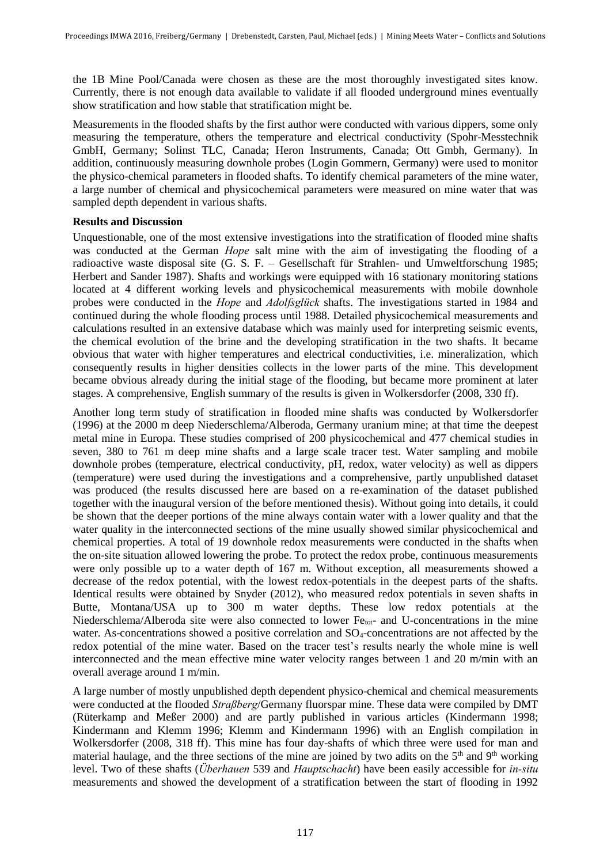the 1B Mine Pool/Canada were chosen as these are the most thoroughly investigated sites know. Currently, there is not enough data available to validate if all flooded underground mines eventually show stratification and how stable that stratification might be.

Measurements in the flooded shafts by the first author were conducted with various dippers, some only measuring the temperature, others the temperature and electrical conductivity (Spohr-Messtechnik GmbH, Germany; Solinst TLC, Canada; Heron Instruments, Canada; Ott Gmbh, Germany). In addition, continuously measuring downhole probes (Login Gommern, Germany) were used to monitor the physico-chemical parameters in flooded shafts. To identify chemical parameters of the mine water, a large number of chemical and physicochemical parameters were measured on mine water that was sampled depth dependent in various shafts.

# **Results and Discussion**

Unquestionable, one of the most extensive investigations into the stratification of flooded mine shafts was conducted at the German *Hope* salt mine with the aim of investigating the flooding of a radioactive waste disposal site (G. S. F. – Gesellschaft für Strahlen- und Umweltforschung 1985; Herbert and Sander 1987). Shafts and workings were equipped with 16 stationary monitoring stations located at 4 different working levels and physicochemical measurements with mobile downhole probes were conducted in the *Hope* and *Adolfsglück* shafts. The investigations started in 1984 and continued during the whole flooding process until 1988. Detailed physicochemical measurements and calculations resulted in an extensive database which was mainly used for interpreting seismic events, the chemical evolution of the brine and the developing stratification in the two shafts. It became obvious that water with higher temperatures and electrical conductivities, i.e. mineralization, which consequently results in higher densities collects in the lower parts of the mine. This development became obvious already during the initial stage of the flooding, but became more prominent at later stages. A comprehensive, English summary of the results is given in Wolkersdorfer (2008, 330 ff).

Another long term study of stratification in flooded mine shafts was conducted by Wolkersdorfer (1996) at the 2000 m deep Niederschlema/Alberoda, Germany uranium mine; at that time the deepest metal mine in Europa. These studies comprised of 200 physicochemical and 477 chemical studies in seven, 380 to 761 m deep mine shafts and a large scale tracer test. Water sampling and mobile downhole probes (temperature, electrical conductivity, pH, redox, water velocity) as well as dippers (temperature) were used during the investigations and a comprehensive, partly unpublished dataset was produced (the results discussed here are based on a re-examination of the dataset published together with the inaugural version of the before mentioned thesis). Without going into details, it could be shown that the deeper portions of the mine always contain water with a lower quality and that the water quality in the interconnected sections of the mine usually showed similar physicochemical and chemical properties. A total of 19 downhole redox measurements were conducted in the shafts when the on-site situation allowed lowering the probe. To protect the redox probe, continuous measurements were only possible up to a water depth of 167 m. Without exception, all measurements showed a decrease of the redox potential, with the lowest redox-potentials in the deepest parts of the shafts. Identical results were obtained by Snyder (2012), who measured redox potentials in seven shafts in Butte, Montana/USA up to 300 m water depths. These low redox potentials at the Niederschlema/Alberoda site were also connected to lower Fe<sub>tot</sub>- and U-concentrations in the mine water. As-concentrations showed a positive correlation and SO4-concentrations are not affected by the redox potential of the mine water. Based on the tracer test's results nearly the whole mine is well interconnected and the mean effective mine water velocity ranges between 1 and 20 m/min with an overall average around 1 m/min.

A large number of mostly unpublished depth dependent physico-chemical and chemical measurements were conducted at the flooded *Straßberg*/Germany fluorspar mine. These data were compiled by DMT (Rüterkamp and Meßer 2000) and are partly published in various articles (Kindermann 1998; Kindermann and Klemm 1996; Klemm and Kindermann 1996) with an English compilation in Wolkersdorfer (2008, 318 ff). This mine has four day-shafts of which three were used for man and material haulage, and the three sections of the mine are joined by two adits on the  $5<sup>th</sup>$  and  $9<sup>th</sup>$  working level. Two of these shafts (*Überhauen* 539 and *Hauptschacht*) have been easily accessible for *in-situ* measurements and showed the development of a stratification between the start of flooding in 1992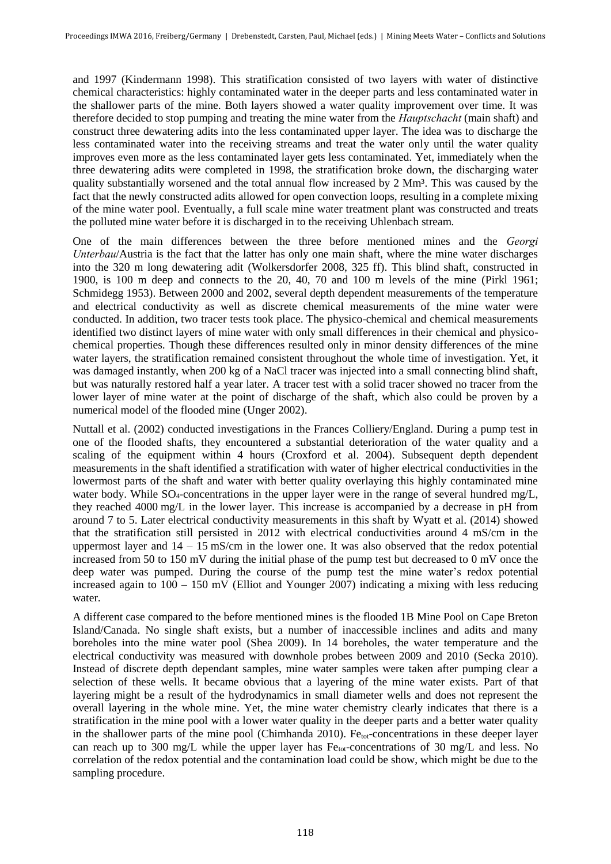and 1997 (Kindermann 1998). This stratification consisted of two layers with water of distinctive chemical characteristics: highly contaminated water in the deeper parts and less contaminated water in the shallower parts of the mine. Both layers showed a water quality improvement over time. It was therefore decided to stop pumping and treating the mine water from the *Hauptschacht* (main shaft) and construct three dewatering adits into the less contaminated upper layer. The idea was to discharge the less contaminated water into the receiving streams and treat the water only until the water quality improves even more as the less contaminated layer gets less contaminated. Yet, immediately when the three dewatering adits were completed in 1998, the stratification broke down, the discharging water quality substantially worsened and the total annual flow increased by 2 Mm<sup>3</sup>. This was caused by the fact that the newly constructed adits allowed for open convection loops, resulting in a complete mixing of the mine water pool. Eventually, a full scale mine water treatment plant was constructed and treats the polluted mine water before it is discharged in to the receiving Uhlenbach stream.

One of the main differences between the three before mentioned mines and the *Georgi Unterbau*/Austria is the fact that the latter has only one main shaft, where the mine water discharges into the 320 m long dewatering adit (Wolkersdorfer 2008, 325 ff). This blind shaft, constructed in 1900, is 100 m deep and connects to the 20, 40, 70 and 100 m levels of the mine (Pirkl 1961; Schmidegg 1953). Between 2000 and 2002, several depth dependent measurements of the temperature and electrical conductivity as well as discrete chemical measurements of the mine water were conducted. In addition, two tracer tests took place. The physico-chemical and chemical measurements identified two distinct layers of mine water with only small differences in their chemical and physicochemical properties. Though these differences resulted only in minor density differences of the mine water layers, the stratification remained consistent throughout the whole time of investigation. Yet, it was damaged instantly, when 200 kg of a NaCl tracer was injected into a small connecting blind shaft, but was naturally restored half a year later. A tracer test with a solid tracer showed no tracer from the lower layer of mine water at the point of discharge of the shaft, which also could be proven by a numerical model of the flooded mine (Unger 2002).

Nuttall et al. (2002) conducted investigations in the Frances Colliery/England. During a pump test in one of the flooded shafts, they encountered a substantial deterioration of the water quality and a scaling of the equipment within 4 hours (Croxford et al. 2004). Subsequent depth dependent measurements in the shaft identified a stratification with water of higher electrical conductivities in the lowermost parts of the shaft and water with better quality overlaying this highly contaminated mine water body. While SO<sub>4</sub>-concentrations in the upper layer were in the range of several hundred mg/L, they reached 4000 mg/L in the lower layer. This increase is accompanied by a decrease in pH from around 7 to 5. Later electrical conductivity measurements in this shaft by Wyatt et al. (2014) showed that the stratification still persisted in 2012 with electrical conductivities around 4 mS/cm in the uppermost layer and  $14 - 15$  mS/cm in the lower one. It was also observed that the redox potential increased from 50 to 150 mV during the initial phase of the pump test but decreased to 0 mV once the deep water was pumped. During the course of the pump test the mine water's redox potential increased again to 100 – 150 mV (Elliot and Younger 2007) indicating a mixing with less reducing water.

A different case compared to the before mentioned mines is the flooded 1B Mine Pool on Cape Breton Island/Canada. No single shaft exists, but a number of inaccessible inclines and adits and many boreholes into the mine water pool (Shea 2009). In 14 boreholes, the water temperature and the electrical conductivity was measured with downhole probes between 2009 and 2010 (Secka 2010). Instead of discrete depth dependant samples, mine water samples were taken after pumping clear a selection of these wells. It became obvious that a layering of the mine water exists. Part of that layering might be a result of the hydrodynamics in small diameter wells and does not represent the overall layering in the whole mine. Yet, the mine water chemistry clearly indicates that there is a stratification in the mine pool with a lower water quality in the deeper parts and a better water quality in the shallower parts of the mine pool (Chimhanda 2010). Fe $_{tot}$ -concentrations in these deeper layer can reach up to 300 mg/L while the upper layer has Fe<sub>tot</sub>-concentrations of 30 mg/L and less. No correlation of the redox potential and the contamination load could be show, which might be due to the sampling procedure.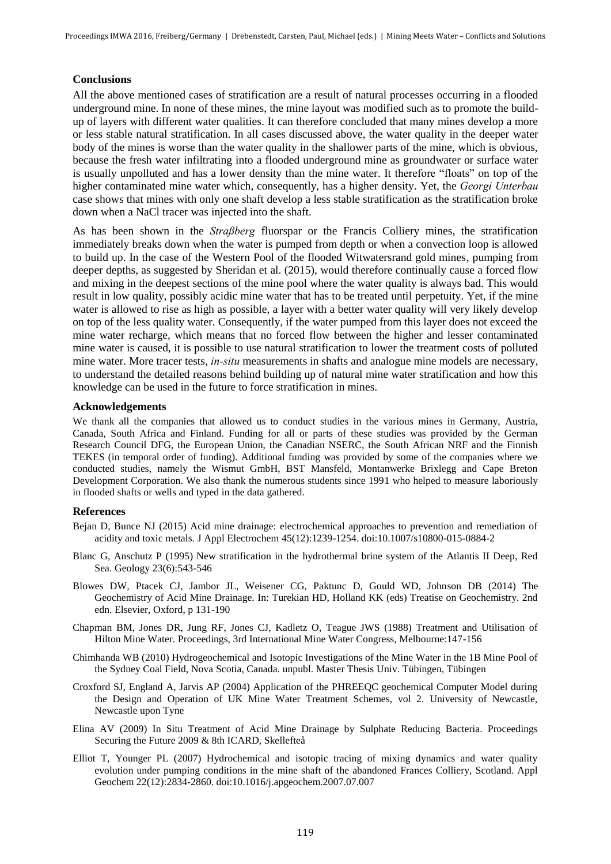#### **Conclusions**

All the above mentioned cases of stratification are a result of natural processes occurring in a flooded underground mine. In none of these mines, the mine layout was modified such as to promote the buildup of layers with different water qualities. It can therefore concluded that many mines develop a more or less stable natural stratification. In all cases discussed above, the water quality in the deeper water body of the mines is worse than the water quality in the shallower parts of the mine, which is obvious, because the fresh water infiltrating into a flooded underground mine as groundwater or surface water is usually unpolluted and has a lower density than the mine water. It therefore "floats" on top of the higher contaminated mine water which, consequently, has a higher density. Yet, the *Georgi Unterbau* case shows that mines with only one shaft develop a less stable stratification as the stratification broke down when a NaCl tracer was injected into the shaft.

As has been shown in the *Straßberg* fluorspar or the Francis Colliery mines, the stratification immediately breaks down when the water is pumped from depth or when a convection loop is allowed to build up. In the case of the Western Pool of the flooded Witwatersrand gold mines, pumping from deeper depths, as suggested by Sheridan et al. (2015), would therefore continually cause a forced flow and mixing in the deepest sections of the mine pool where the water quality is always bad. This would result in low quality, possibly acidic mine water that has to be treated until perpetuity. Yet, if the mine water is allowed to rise as high as possible, a layer with a better water quality will very likely develop on top of the less quality water. Consequently, if the water pumped from this layer does not exceed the mine water recharge, which means that no forced flow between the higher and lesser contaminated mine water is caused, it is possible to use natural stratification to lower the treatment costs of polluted mine water. More tracer tests, *in-situ* measurements in shafts and analogue mine models are necessary, to understand the detailed reasons behind building up of natural mine water stratification and how this knowledge can be used in the future to force stratification in mines.

#### **Acknowledgements**

We thank all the companies that allowed us to conduct studies in the various mines in Germany, Austria, Canada, South Africa and Finland. Funding for all or parts of these studies was provided by the German Research Council DFG, the European Union, the Canadian NSERC, the South African NRF and the Finnish TEKES (in temporal order of funding). Additional funding was provided by some of the companies where we conducted studies, namely the Wismut GmbH, BST Mansfeld, Montanwerke Brixlegg and Cape Breton Development Corporation. We also thank the numerous students since 1991 who helped to measure laboriously in flooded shafts or wells and typed in the data gathered.

#### **References**

- Bejan D, Bunce NJ (2015) Acid mine drainage: electrochemical approaches to prevention and remediation of acidity and toxic metals. J Appl Electrochem 45(12):1239-1254. doi:10.1007/s10800-015-0884-2
- Blanc G, Anschutz P (1995) New stratification in the hydrothermal brine system of the Atlantis II Deep, Red Sea. Geology 23(6):543-546
- Blowes DW, Ptacek CJ, Jambor JL, Weisener CG, Paktunc D, Gould WD, Johnson DB (2014) The Geochemistry of Acid Mine Drainage. In: Turekian HD, Holland KK (eds) Treatise on Geochemistry. 2nd edn. Elsevier, Oxford, p 131-190
- Chapman BM, Jones DR, Jung RF, Jones CJ, Kadletz O, Teague JWS (1988) Treatment and Utilisation of Hilton Mine Water. Proceedings, 3rd International Mine Water Congress, Melbourne:147-156
- Chimhanda WB (2010) Hydrogeochemical and Isotopic Investigations of the Mine Water in the 1B Mine Pool of the Sydney Coal Field, Nova Scotia, Canada. unpubl. Master Thesis Univ. Tübingen, Tübingen
- Croxford SJ, England A, Jarvis AP (2004) Application of the PHREEQC geochemical Computer Model during the Design and Operation of UK Mine Water Treatment Schemes, vol 2. University of Newcastle, Newcastle upon Tyne
- Elina AV (2009) In Situ Treatment of Acid Mine Drainage by Sulphate Reducing Bacteria. Proceedings Securing the Future 2009 & 8th ICARD, Skellefteå
- Elliot T, Younger PL (2007) Hydrochemical and isotopic tracing of mixing dynamics and water quality evolution under pumping conditions in the mine shaft of the abandoned Frances Colliery, Scotland. Appl Geochem 22(12):2834-2860. doi:10.1016/j.apgeochem.2007.07.007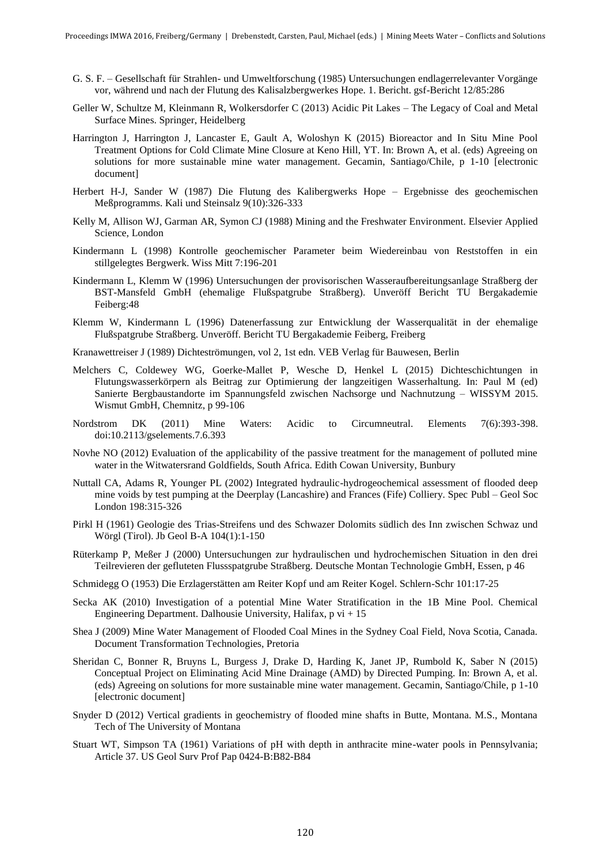- G. S. F. Gesellschaft für Strahlen- und Umweltforschung (1985) Untersuchungen endlagerrelevanter Vorgänge vor, während und nach der Flutung des Kalisalzbergwerkes Hope. 1. Bericht. gsf-Bericht 12/85:286
- Geller W, Schultze M, Kleinmann R, Wolkersdorfer C (2013) Acidic Pit Lakes The Legacy of Coal and Metal Surface Mines. Springer, Heidelberg
- Harrington J, Harrington J, Lancaster E, Gault A, Woloshyn K (2015) Bioreactor and In Situ Mine Pool Treatment Options for Cold Climate Mine Closure at Keno Hill, YT. In: Brown A, et al. (eds) Agreeing on solutions for more sustainable mine water management. Gecamin, Santiago/Chile, p 1-10 [electronic document]
- Herbert H-J, Sander W (1987) Die Flutung des Kalibergwerks Hope Ergebnisse des geochemischen Meßprogramms. Kali und Steinsalz 9(10):326-333
- Kelly M, Allison WJ, Garman AR, Symon CJ (1988) Mining and the Freshwater Environment. Elsevier Applied Science, London
- Kindermann L (1998) Kontrolle geochemischer Parameter beim Wiedereinbau von Reststoffen in ein stillgelegtes Bergwerk. Wiss Mitt 7:196-201
- Kindermann L, Klemm W (1996) Untersuchungen der provisorischen Wasseraufbereitungsanlage Straßberg der BST-Mansfeld GmbH (ehemalige Flußspatgrube Straßberg). Unveröff Bericht TU Bergakademie Feiberg:48
- Klemm W, Kindermann L (1996) Datenerfassung zur Entwicklung der Wasserqualität in der ehemalige Flußspatgrube Straßberg. Unveröff. Bericht TU Bergakademie Feiberg, Freiberg
- Kranawettreiser J (1989) Dichteströmungen, vol 2, 1st edn. VEB Verlag für Bauwesen, Berlin
- Melchers C, Coldewey WG, Goerke-Mallet P, Wesche D, Henkel L (2015) Dichteschichtungen in Flutungswasserkörpern als Beitrag zur Optimierung der langzeitigen Wasserhaltung. In: Paul M (ed) Sanierte Bergbaustandorte im Spannungsfeld zwischen Nachsorge und Nachnutzung – WISSYM 2015. Wismut GmbH, Chemnitz, p 99-106
- Nordstrom DK (2011) Mine Waters: Acidic to Circumneutral. Elements 7(6):393-398. doi:10.2113/gselements.7.6.393
- Novhe NO (2012) Evaluation of the applicability of the passive treatment for the management of polluted mine water in the Witwatersrand Goldfields, South Africa. Edith Cowan University, Bunbury
- Nuttall CA, Adams R, Younger PL (2002) Integrated hydraulic-hydrogeochemical assessment of flooded deep mine voids by test pumping at the Deerplay (Lancashire) and Frances (Fife) Colliery. Spec Publ – Geol Soc London 198:315-326
- Pirkl H (1961) Geologie des Trias-Streifens und des Schwazer Dolomits südlich des Inn zwischen Schwaz und Wörgl (Tirol). Jb Geol B-A 104(1):1-150
- Rüterkamp P, Meßer J (2000) Untersuchungen zur hydraulischen und hydrochemischen Situation in den drei Teilrevieren der gefluteten Flussspatgrube Straßberg. Deutsche Montan Technologie GmbH, Essen, p 46
- Schmidegg O (1953) Die Erzlagerstätten am Reiter Kopf und am Reiter Kogel. Schlern-Schr 101:17-25
- Secka AK (2010) Investigation of a potential Mine Water Stratification in the 1B Mine Pool. Chemical Engineering Department. Dalhousie University, Halifax, p  $vi + 15$
- Shea J (2009) Mine Water Management of Flooded Coal Mines in the Sydney Coal Field, Nova Scotia, Canada. Document Transformation Technologies, Pretoria
- Sheridan C, Bonner R, Bruyns L, Burgess J, Drake D, Harding K, Janet JP, Rumbold K, Saber N (2015) Conceptual Project on Eliminating Acid Mine Drainage (AMD) by Directed Pumping. In: Brown A, et al. (eds) Agreeing on solutions for more sustainable mine water management. Gecamin, Santiago/Chile, p 1-10 [electronic document]
- Snyder D (2012) Vertical gradients in geochemistry of flooded mine shafts in Butte, Montana. M.S., Montana Tech of The University of Montana
- Stuart WT, Simpson TA (1961) Variations of pH with depth in anthracite mine-water pools in Pennsylvania; Article 37. US Geol Surv Prof Pap 0424-B:B82-B84